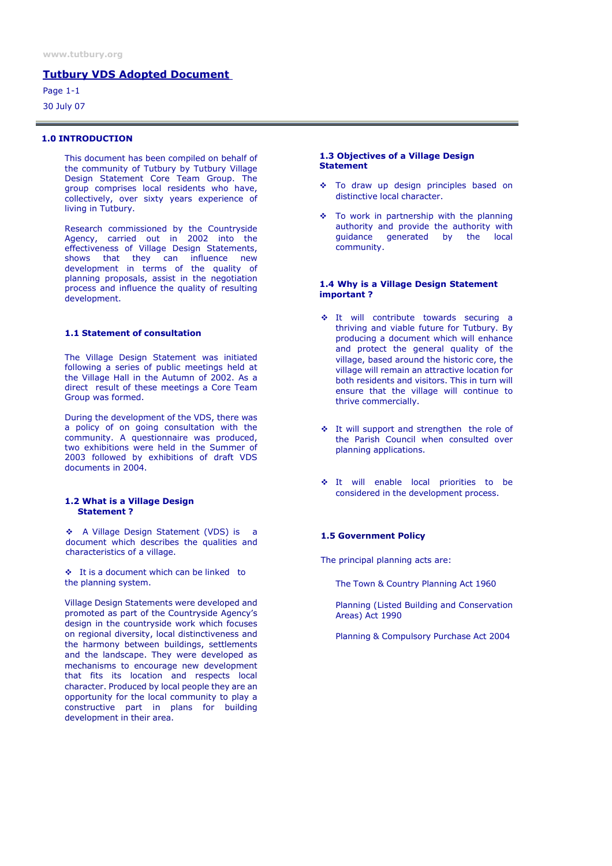## Tutbury VDS Adopted Document

Page 1-1 30 July 07

## 1.0 INTRODUCTION

This document has been compiled on behalf of the community of Tutbury by Tutbury Village Design Statement Core Team Group. The group comprises local residents who have, collectively, over sixty years experience of living in Tutbury.

Research commissioned by the Countryside Agency, carried out in 2002 into the effectiveness of Village Design Statements, shows that they can influence new development in terms of the quality of planning proposals, assist in the negotiation process and influence the quality of resulting development.

## 1.1 Statement of consultation

The Village Design Statement was initiated following a series of public meetings held at the Village Hall in the Autumn of 2002. As a direct result of these meetings a Core Team Group was formed.

During the development of the VDS, there was a policy of on going consultation with the community. A questionnaire was produced, two exhibitions were held in the Summer of 2003 followed by exhibitions of draft VDS documents in 2004.

#### 1.2 What is a Village Design Statement ?

 A Village Design Statement (VDS) is a document which describes the qualities and characteristics of a village.

 $\div$  It is a document which can be linked to the planning system.

Village Design Statements were developed and promoted as part of the Countryside Agency's design in the countryside work which focuses on regional diversity, local distinctiveness and the harmony between buildings, settlements and the landscape. They were developed as mechanisms to encourage new development that fits its location and respects local character. Produced by local people they are an opportunity for the local community to play a constructive part in plans for building development in their area.

### 1.3 Objectives of a Village Design **Statement**

- \* To draw up design principles based on distinctive local character.
- \* To work in partnership with the planning authority and provide the authority with guidance generated by the local community.

### 1.4 Why is a Village Design Statement important ?

- It will contribute towards securing a thriving and viable future for Tutbury. By producing a document which will enhance and protect the general quality of the village, based around the historic core, the village will remain an attractive location for both residents and visitors. This in turn will ensure that the village will continue to thrive commercially.
- ◆ It will support and strengthen the role of the Parish Council when consulted over planning applications.
- It will enable local priorities to be considered in the development process.

### 1.5 Government Policy

The principal planning acts are:

The Town & Country Planning Act 1960

Planning (Listed Building and Conservation Areas) Act 1990

Planning & Compulsory Purchase Act 2004